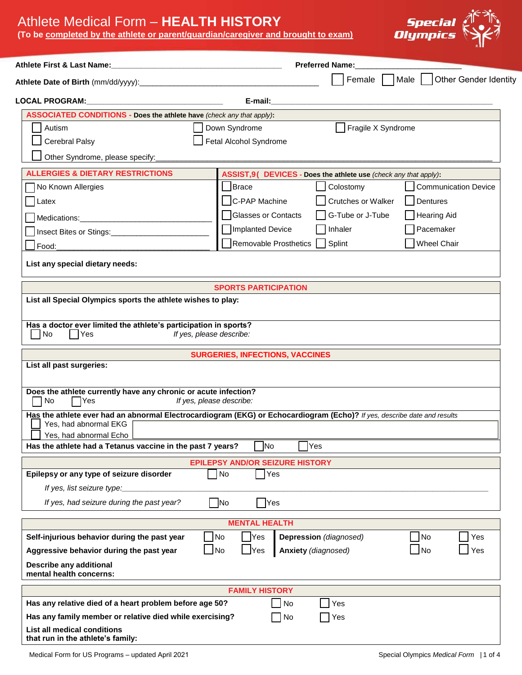## Athlete Medical Form – **HEALTH HISTORY**

**(To be completed by the athlete or parent/guardian/caregiver and brought to exam)**



| Athlete First & Last Name:                                                                                               | <b>Preferred Name:</b><br><u> 1989 - Johann John Stein, mars eta biztanleria (</u> |                                                                  |                                           |  |  |  |  |
|--------------------------------------------------------------------------------------------------------------------------|------------------------------------------------------------------------------------|------------------------------------------------------------------|-------------------------------------------|--|--|--|--|
|                                                                                                                          |                                                                                    |                                                                  | Female     Male     Other Gender Identity |  |  |  |  |
| <b>LOCAL PROGRAM:</b>                                                                                                    | E-mail:                                                                            |                                                                  |                                           |  |  |  |  |
| <b>ASSOCIATED CONDITIONS - Does the athlete have (check any that apply):</b>                                             |                                                                                    |                                                                  |                                           |  |  |  |  |
| Autism                                                                                                                   | Down Syndrome                                                                      | Fragile X Syndrome                                               |                                           |  |  |  |  |
| Cerebral Palsy                                                                                                           | Fetal Alcohol Syndrome                                                             |                                                                  |                                           |  |  |  |  |
| Other Syndrome, please specify:                                                                                          |                                                                                    |                                                                  |                                           |  |  |  |  |
| <b>ALLERGIES &amp; DIETARY RESTRICTIONS</b>                                                                              |                                                                                    | ASSIST=19 DEVICES - Does the athlete use (check any that apply): |                                           |  |  |  |  |
| No Known Allergies                                                                                                       | Brace                                                                              | Colostomy                                                        | <b>Communication Device</b>               |  |  |  |  |
| Latex                                                                                                                    | C-PAP Machine                                                                      | Crutches or Walker                                               | Dentures                                  |  |  |  |  |
|                                                                                                                          | Glasses or Contacts                                                                | G-Tube or J-Tube                                                 | <b>Hearing Aid</b>                        |  |  |  |  |
| Insect Bites or Stings:                                                                                                  | Implanted Device                                                                   | Inhaler                                                          | Pacemaker                                 |  |  |  |  |
| Food:                                                                                                                    | Removable Prosthetics                                                              | Splint<br>$\mathbf{I}$                                           | <b>Wheel Chair</b>                        |  |  |  |  |
|                                                                                                                          |                                                                                    |                                                                  |                                           |  |  |  |  |
| List any special dietary needs:                                                                                          |                                                                                    |                                                                  |                                           |  |  |  |  |
|                                                                                                                          | <b>SPORTS PARTICIPATION</b>                                                        |                                                                  |                                           |  |  |  |  |
| List all Special Olympics sports the athlete wishes to play:                                                             |                                                                                    |                                                                  |                                           |  |  |  |  |
|                                                                                                                          |                                                                                    |                                                                  |                                           |  |  |  |  |
| Has a doctor ever limited the athlete's participation in sports?<br>$\overline{\phantom{a}}$ No<br> Yes                  | If yes, please describe:                                                           |                                                                  |                                           |  |  |  |  |
|                                                                                                                          | <b>SURGERIES, INFECTIONS, VACCINES</b>                                             |                                                                  |                                           |  |  |  |  |
| List all past surgeries:                                                                                                 |                                                                                    |                                                                  |                                           |  |  |  |  |
|                                                                                                                          |                                                                                    |                                                                  |                                           |  |  |  |  |
| Does the athlete currently have any chronic or acute infection?<br>No<br><b>PYes</b>                                     | If yes, please describe:                                                           |                                                                  |                                           |  |  |  |  |
| Has the athlete ever had an abnormal Electrocardiogram (EKG) or Echocardiogram (Echo)? If yes, describe date and results |                                                                                    |                                                                  |                                           |  |  |  |  |
| Yes, had abnormal EKG                                                                                                    |                                                                                    |                                                                  |                                           |  |  |  |  |
| Yes, had abnormal Echo                                                                                                   |                                                                                    |                                                                  |                                           |  |  |  |  |
| Has the athlete had a Tetanus vaccine in the past 7 years?                                                               | N <sub>o</sub>                                                                     | Yes                                                              |                                           |  |  |  |  |
|                                                                                                                          | <b>EPILEPSY AND/OR SEIZURE HISTORY</b>                                             |                                                                  |                                           |  |  |  |  |
| Epilepsy or any type of seizure disorder                                                                                 | $\Box$ No<br>Yes                                                                   |                                                                  |                                           |  |  |  |  |
| If yes, list seizure type:                                                                                               |                                                                                    |                                                                  |                                           |  |  |  |  |
| If yes, had seizure during the past year?                                                                                | $\n  No\n$<br>Yes                                                                  |                                                                  |                                           |  |  |  |  |
|                                                                                                                          | <b>MENTAL HEALTH</b>                                                               |                                                                  |                                           |  |  |  |  |
| Self-injurious behavior during the past year                                                                             | No<br>Yes                                                                          | Depression (diagnosed)                                           | No<br>Yes                                 |  |  |  |  |
| Aggressive behavior during the past year                                                                                 | $\overline{\phantom{a}}$ No<br>$\mathsf{\neg}$ Yes                                 | Anxiety (diagnosed)                                              | $\blacksquare$ No<br>Yes                  |  |  |  |  |
| Describe any additional<br>mental health concerns:                                                                       |                                                                                    |                                                                  |                                           |  |  |  |  |
|                                                                                                                          | <b>FAMILY HISTORY</b>                                                              |                                                                  |                                           |  |  |  |  |
| Has any relative died of a heart problem before age 50?                                                                  | $\overline{\phantom{a}}$ No                                                        | Yes                                                              |                                           |  |  |  |  |
| Has any family member or relative died while exercising?                                                                 | $\Box$ No                                                                          | Yes                                                              |                                           |  |  |  |  |
| <b>List all medical conditions</b><br>that run in the athlete's family:                                                  |                                                                                    |                                                                  |                                           |  |  |  |  |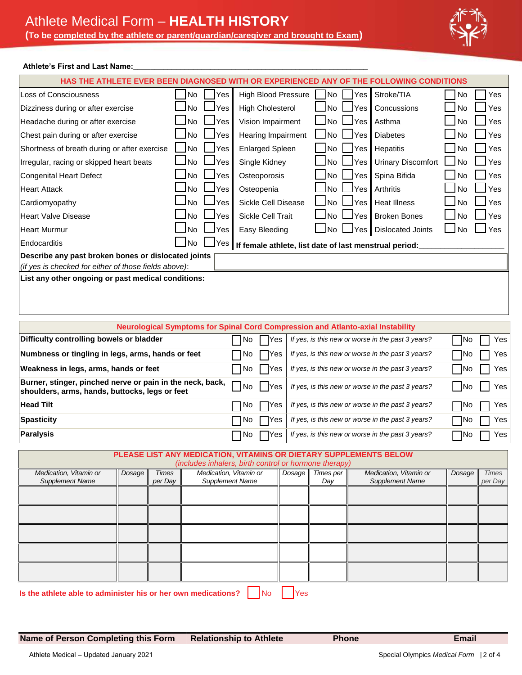

#### Athlete's First and Last Name:

| HAS THE ATHLETE EVER BEEN DIAGNOSED WITH OR EXPERIENCED ANY OF THE FOLLOWING CONDITIONS                                                                                       |                                                                         |                               |                                                                                        |               |                                  |                     |                                                   |        |                         |
|-------------------------------------------------------------------------------------------------------------------------------------------------------------------------------|-------------------------------------------------------------------------|-------------------------------|----------------------------------------------------------------------------------------|---------------|----------------------------------|---------------------|---------------------------------------------------|--------|-------------------------|
| Loss of Consciousness                                                                                                                                                         | No                                                                      | Yes                           | <b>High Blood Pressure</b>                                                             |               | No                               | Yes                 | Stroke/TIA                                        | No     | Yes                     |
| Dizziness during or after exercise                                                                                                                                            | <b>No</b>                                                               | Yes                           | <b>High Cholesterol</b>                                                                | No.           | Yes                              | Concussions         | No.                                               | Yes    |                         |
| Headache during or after exercise                                                                                                                                             | No                                                                      | Yes                           | Vision Impairment                                                                      |               | <b>No</b>                        | Yes                 | Asthma                                            | No     | Yes                     |
| Chest pain during or after exercise                                                                                                                                           | No                                                                      | Yes<br>Hearing Impairment     |                                                                                        |               | No                               | Yes                 | <b>Diabetes</b>                                   | No     | Yes                     |
| Shortness of breath during or after exercise                                                                                                                                  | l No                                                                    | Yes<br><b>Enlarged Spleen</b> |                                                                                        |               | No                               | Yes                 | No                                                | Yes    |                         |
| Irregular, racing or skipped heart beats                                                                                                                                      | No                                                                      | Yes                           | Single Kidney                                                                          | No            | <b>Urinary Discomfort</b><br>Yes |                     |                                                   | Yes    |                         |
| <b>Congenital Heart Defect</b>                                                                                                                                                | No                                                                      | Yes                           | Osteoporosis                                                                           | No            | Yes                              | Spina Bifida        | No                                                | Yes    |                         |
| <b>Heart Attack</b>                                                                                                                                                           | <b>No</b>                                                               | Yes                           | Osteopenia                                                                             |               | No.                              | Yes                 | Arthritis                                         | No     | Yes                     |
| Cardiomyopathy                                                                                                                                                                | <b>No</b>                                                               | Yes                           | Sickle Cell Disease                                                                    |               | No                               | Yes                 | <b>Heat Illness</b>                               | No     | Yes                     |
| <b>Heart Valve Disease</b>                                                                                                                                                    | <b>No</b>                                                               | Yes                           | Sickle Cell Trait                                                                      | No.           | Yes                              | <b>Broken Bones</b> | No                                                | Yes    |                         |
| <b>Heart Murmur</b>                                                                                                                                                           | No                                                                      | Yes                           |                                                                                        | Easy Bleeding |                                  |                     | <b>Dislocated Joints</b>                          | No     | Yes                     |
| Endocarditis                                                                                                                                                                  | l No<br>Yes  <br>If female athlete, list date of last menstrual period: |                               |                                                                                        |               |                                  |                     |                                                   |        |                         |
| Describe any past broken bones or dislocated joints                                                                                                                           |                                                                         |                               |                                                                                        |               |                                  |                     |                                                   |        |                         |
| (if yes is checked for either of those fields above):<br>List any other ongoing or past medical conditions:                                                                   |                                                                         |                               |                                                                                        |               |                                  |                     |                                                   |        |                         |
|                                                                                                                                                                               |                                                                         |                               |                                                                                        |               |                                  |                     |                                                   |        |                         |
|                                                                                                                                                                               |                                                                         |                               | <b>Neurological Symptoms for Spinal Cord Compression and Atlanto-axial Instability</b> |               |                                  |                     |                                                   |        |                         |
| Difficulty controlling bowels or bladder                                                                                                                                      |                                                                         |                               | No<br>Yes                                                                              |               |                                  |                     | If yes, is this new or worse in the past 3 years? | No     | Yes                     |
| Numbness or tingling in legs, arms, hands or feet<br>If yes, is this new or worse in the past 3 years?<br>∏No<br>No<br>Yes                                                    |                                                                         |                               |                                                                                        |               | Yes                              |                     |                                                   |        |                         |
| Weakness in legs, arms, hands or feet<br>  No<br>If yes, is this new or worse in the past 3 years?<br>Yes                                                                     |                                                                         |                               |                                                                                        |               | - INo                            | Yes                 |                                                   |        |                         |
| Burner, stinger, pinched nerve or pain in the neck, back,<br>If yes, is this new or worse in the past 3 years?<br>No<br>Yes<br>shoulders, arms, hands, buttocks, legs or feet |                                                                         |                               |                                                                                        |               | – INo                            | Yes                 |                                                   |        |                         |
| <b>Head Tilt</b><br>No<br>If yes, is this new or worse in the past 3 years?<br>Yes                                                                                            |                                                                         |                               |                                                                                        |               | $\neg$ No                        | Yes                 |                                                   |        |                         |
| <b>Spasticity</b><br>If yes, is this new or worse in the past 3 years?<br>No<br>Yes                                                                                           |                                                                         |                               |                                                                                        |               |                                  | ∏No                 | Yes                                               |        |                         |
| <b>Paralysis</b>                                                                                                                                                              |                                                                         |                               | No<br>Yes                                                                              |               |                                  |                     | If yes, is this new or worse in the past 3 years? | ¶No    | Yes                     |
| PLEASE LIST ANY MEDICATION, VITAMINS OR DIETARY SUPPLEMENTS BELOW                                                                                                             |                                                                         |                               | (includes inhalers, birth control or hormone therapy)                                  |               |                                  |                     |                                                   |        |                         |
| Medication, Vitamin or<br>Dosage<br><b>Supplement Name</b>                                                                                                                    | <b>Times</b><br>per Day                                                 | <b>Supplement Name</b>        | Medication, Vitamin or                                                                 | Dosage        | Times per<br>Day                 |                     | Medication, Vitamin or<br><b>Supplement Name</b>  | Dosage | <b>Times</b><br>per Day |
|                                                                                                                                                                               |                                                                         |                               |                                                                                        |               |                                  |                     |                                                   |        |                         |
|                                                                                                                                                                               |                                                                         |                               |                                                                                        |               |                                  |                     |                                                   |        |                         |
|                                                                                                                                                                               |                                                                         |                               |                                                                                        |               |                                  |                     |                                                   |        |                         |
|                                                                                                                                                                               |                                                                         |                               |                                                                                        |               |                                  |                     |                                                   |        |                         |
|                                                                                                                                                                               |                                                                         |                               |                                                                                        |               |                                  |                     |                                                   |        |                         |
|                                                                                                                                                                               |                                                                         |                               |                                                                                        |               |                                  |                     |                                                   |        |                         |
|                                                                                                                                                                               |                                                                         |                               |                                                                                        |               |                                  |                     |                                                   |        |                         |
|                                                                                                                                                                               |                                                                         |                               |                                                                                        |               |                                  |                     |                                                   |        |                         |

**Is the athlete able to administer his or her own medications?**  $\begin{bmatrix} N_0 & N_1 \\ N_2 & N_2 \end{bmatrix}$ 

**Name of Person Completing this Form Relationship to Athlete Phone Phone Email**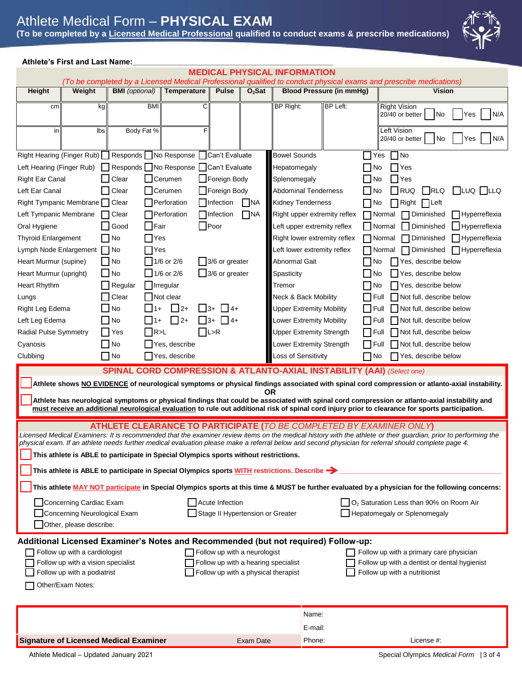# Athlete Medical Form – **PHYSICAL EXAM**

**(To be completed by a Licensed Medical Professional qualified to conduct exams & prescribe medications)**



### **Athlete's First and Last Name:\_\_\_\_\_\_\_\_\_\_\_\_\_\_\_\_\_\_\_\_\_\_\_\_\_\_\_\_\_\_\_\_\_\_\_\_\_\_\_\_\_\_\_\_\_\_\_**

|                                                                                                                                                                                                                                                                                             |                                                                                                                         |                                                                                                                                                                                                                                                                         |                                                                                                                                                                         |                                                                                                                                           |                         | <b>MEDICAL PHYSICAL INFORMATION</b>                                                                                                           |                                                                                                                                   |                                                                                                              | (To be completed by a Licensed Medical Professional qualified to conduct physical exams and prescribe medications)                                                                                                                                                                                                                                                                                                                                                                                                                                                       |
|---------------------------------------------------------------------------------------------------------------------------------------------------------------------------------------------------------------------------------------------------------------------------------------------|-------------------------------------------------------------------------------------------------------------------------|-------------------------------------------------------------------------------------------------------------------------------------------------------------------------------------------------------------------------------------------------------------------------|-------------------------------------------------------------------------------------------------------------------------------------------------------------------------|-------------------------------------------------------------------------------------------------------------------------------------------|-------------------------|-----------------------------------------------------------------------------------------------------------------------------------------------|-----------------------------------------------------------------------------------------------------------------------------------|--------------------------------------------------------------------------------------------------------------|--------------------------------------------------------------------------------------------------------------------------------------------------------------------------------------------------------------------------------------------------------------------------------------------------------------------------------------------------------------------------------------------------------------------------------------------------------------------------------------------------------------------------------------------------------------------------|
| Height                                                                                                                                                                                                                                                                                      | Weight                                                                                                                  | <b>BMI</b> (optional)                                                                                                                                                                                                                                                   | Temperature                                                                                                                                                             | <b>Pulse</b>                                                                                                                              | $O2$ Sat                |                                                                                                                                               | <b>Blood Pressure (in mmHg)</b>                                                                                                   |                                                                                                              | <b>Vision</b>                                                                                                                                                                                                                                                                                                                                                                                                                                                                                                                                                            |
| cm                                                                                                                                                                                                                                                                                          | kg                                                                                                                      | <b>BMI</b>                                                                                                                                                                                                                                                              | C                                                                                                                                                                       |                                                                                                                                           |                         | <b>BP Right:</b>                                                                                                                              | <b>BP Left:</b>                                                                                                                   |                                                                                                              | <b>Right Vision</b><br>20/40 or better<br>l No<br>N/A<br>Yes                                                                                                                                                                                                                                                                                                                                                                                                                                                                                                             |
| in                                                                                                                                                                                                                                                                                          | Ibs                                                                                                                     | Body Fat %                                                                                                                                                                                                                                                              |                                                                                                                                                                         |                                                                                                                                           |                         |                                                                                                                                               |                                                                                                                                   |                                                                                                              | Left Vision<br>20/40 or better<br>No<br>N/A<br>Yes                                                                                                                                                                                                                                                                                                                                                                                                                                                                                                                       |
| Right Hearing (Finger Rub)<br>Left Hearing (Finger Rub)<br><b>Right Ear Canal</b><br>Left Ear Canal<br>Right Tympanic Membrane   Clear<br>Left Tympanic Membrane<br>Oral Hygiene<br><b>Thyroid Enlargement</b><br>Lymph Node Enlargement<br>Heart Murmur (supine)<br>Heart Murmur (upright) |                                                                                                                         | Responds   No Response<br>Clear<br>Clear<br>Clear<br>Good<br>No<br>No<br>l INo<br>∣ ∣No                                                                                                                                                                                 | Responds   No Response   Can't Evaluate<br>Cerumen<br><b>Cerumen</b><br>Perforation<br>Perforation<br><b>IFair</b><br> Yes<br><b>IYes</b><br>1/6 or 2/6<br>$1/6$ or 2/6 | Can't Evaluate<br>□Foreign Body<br>_∏Foreign Body<br>  Infection<br>  Infection<br>$\Box$ Poor<br>3/6 or greater<br>$\Box$ 3/6 or greater | <b>NA</b><br>$\n  NA\n$ | <b>Bowel Sounds</b><br>Hepatomegaly<br>Splenomegaly<br><b>Abdominal Tenderness</b><br><b>Kidney Tenderness</b><br>Abnormal Gait<br>Spasticity | Right upper extremity reflex<br>Left upper extremity reflex<br>Right lower extremity reflex<br>Left lower extremity reflex        | Yes<br>l No<br>l No<br>∣ INo<br>l INo<br>l INormal<br>  Normal<br>$\Box$ Normal<br>l ⊟Normal<br>l No<br>i No | No<br>Yes<br>Yes<br>$\n  RLQ\n$<br>$\Box$ LUQ $\Box$ LLQ<br><b>IRUQ</b><br>Right<br>$ $   Left<br>$\Box$ Hyperreflexia<br>Diminished<br>Diminished<br>Hyperreflexia<br>$\sqcap$ Hyperreflexia<br>Diminished<br>$\Box$ Hyperreflexia<br>Diminished<br>Yes, describe below<br>Yes, describe below                                                                                                                                                                                                                                                                          |
| Heart Rhythm<br>Lungs<br>Right Leg Edema<br>Left Leg Edema<br><b>Radial Pulse Symmetry</b><br>Cyanosis<br>Clubbing                                                                                                                                                                          |                                                                                                                         | Regular<br>Clear<br>No<br>No<br>$\n  IR 1\n$<br>Yes<br>l No<br>$\Box$ No                                                                                                                                                                                                | $\bigsqcup$ Irregular<br>Not clear<br>$\perp$ 2+<br>$\vert$ 13+<br>1+<br>$\Box$ 2+<br>l 13+<br>Yes, describe<br>Yes, describe                                           | $114+$<br>$1\overline{14}$<br>$\Box$ L>R                                                                                                  |                         | Tremor<br><b>Neck &amp; Back Mobility</b><br>Loss of Sensitivity                                                                              | <b>Upper Extremity Mobility</b><br><b>Lower Extremity Mobility</b><br><b>Upper Extremity Strength</b><br>Lower Extremity Strength | l INo<br>□ Full<br>l Full<br>l IFull<br>l IFull<br>∣ I Full<br>   No                                         | Yes, describe below<br>Not full, describe below<br>Not full, describe below<br>Not full, describe below<br>Not full, describe below<br>Not full, describe below<br>Yes, describe below                                                                                                                                                                                                                                                                                                                                                                                   |
|                                                                                                                                                                                                                                                                                             |                                                                                                                         | <b>SPINAL CORD COMPRESSION &amp; ATLANTO-AXIAL INSTABILITY (AAI)</b> (Select one)                                                                                                                                                                                       |                                                                                                                                                                         |                                                                                                                                           |                         | ΟR                                                                                                                                            |                                                                                                                                   |                                                                                                              | Athlete shows NO EVIDENCE of neurological symptoms or physical findings associated with spinal cord compression or atlanto-axial instability.<br>Athlete has neurological symptoms or physical findings that could be associated with spinal cord compression or atlanto-axial instability and<br>must receive an additional neurological evaluation to rule out additional risk of spinal cord injury prior to clearance for sports participation.                                                                                                                      |
|                                                                                                                                                                                                                                                                                             | Concerning Cardiac Exam<br>Concerning Neurological Exam<br>Other, please describe:                                      | ATHLETE CLEARANCE TO PARTICIPATE (TO BE COMPLETED BY EXAMINER ONLY)<br>This athlete is ABLE to participate in Special Olympics sports without restrictions.<br>This athlete is ABLE to participate in Special Olympics sports WITH restrictions. Describe $\rightarrow$ |                                                                                                                                                                         | Acute Infection<br>Stage II Hypertension or Greater                                                                                       |                         |                                                                                                                                               |                                                                                                                                   |                                                                                                              | Licensed Medical Examiners: It is recommended that the examiner review items on the medical history with the athlete or their guardian, prior to performing the<br>physical exam. If an athlete needs further medical evaluation please make a referral below and second physician for referral should complete page 4.<br>This athlete MAY NOT participate in Special Olympics sports at this time & MUST be further evaluated by a physician for the following concerns:<br>$\Box$ O <sub>2</sub> Saturation Less than 90% on Room Air<br>Hepatomegaly or Splenomegaly |
|                                                                                                                                                                                                                                                                                             | Follow up with a cardiologist<br>Follow up with a vision specialist<br>Follow up with a podiatrist<br>Other/Exam Notes: | Additional Licensed Examiner's Notes and Recommended (but not required) Follow-up:                                                                                                                                                                                      |                                                                                                                                                                         | Follow up with a neurologist<br>Follow up with a hearing specialist<br>Follow up with a physical therapist                                |                         |                                                                                                                                               |                                                                                                                                   |                                                                                                              | Follow up with a primary care physician<br>Follow up with a dentist or dental hygienist<br>Follow up with a nutritionist                                                                                                                                                                                                                                                                                                                                                                                                                                                 |
|                                                                                                                                                                                                                                                                                             |                                                                                                                         | <b>Signature of Licensed Medical Examiner</b>                                                                                                                                                                                                                           |                                                                                                                                                                         |                                                                                                                                           | Exam Date               |                                                                                                                                               | Name:<br>E-mail:<br>Phone:                                                                                                        |                                                                                                              | License #:                                                                                                                                                                                                                                                                                                                                                                                                                                                                                                                                                               |